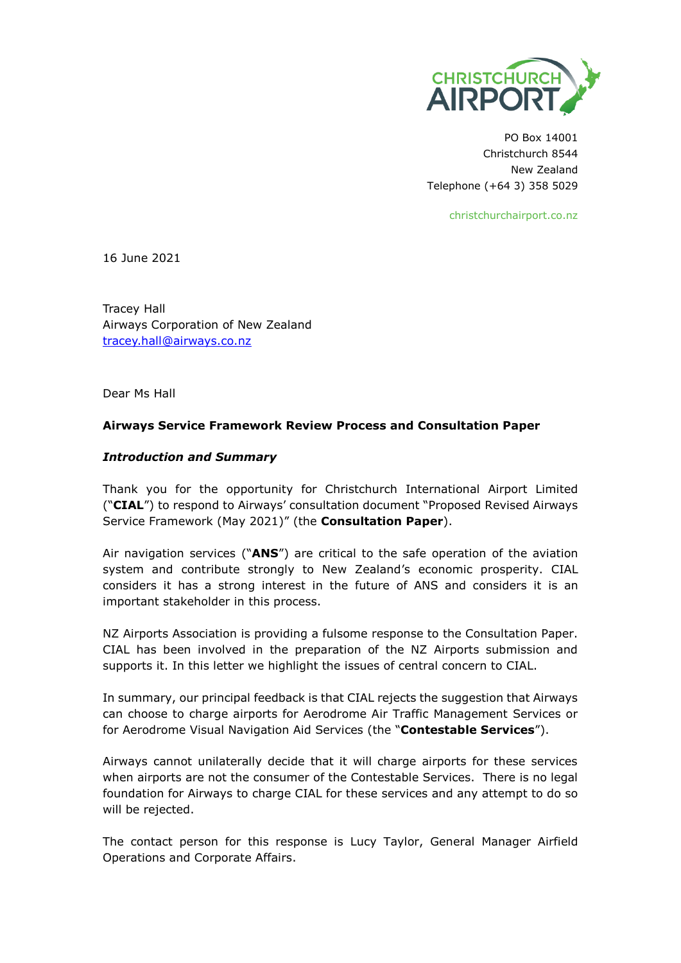

PO Box 14001 Christchurch 8544 New Zealand Telephone (+64 3) 358 5029

christchurchairport.co.nz

16 June 2021

Tracey Hall Airways Corporation of New Zealand [tracey.hall@airways.co.nz](mailto:tracey.hall@airways.co.nz)

Dear Ms Hall

## **Airways Service Framework Review Process and Consultation Paper**

## *Introduction and Summary*

Thank you for the opportunity for Christchurch International Airport Limited ("**CIAL**") to respond to Airways' consultation document "Proposed Revised Airways Service Framework (May 2021)" (the **Consultation Paper**).

Air navigation services ("**ANS**") are critical to the safe operation of the aviation system and contribute strongly to New Zealand's economic prosperity. CIAL considers it has a strong interest in the future of ANS and considers it is an important stakeholder in this process.

NZ Airports Association is providing a fulsome response to the Consultation Paper. CIAL has been involved in the preparation of the NZ Airports submission and supports it. In this letter we highlight the issues of central concern to CIAL.

In summary, our principal feedback is that CIAL rejects the suggestion that Airways can choose to charge airports for Aerodrome Air Traffic Management Services or for Aerodrome Visual Navigation Aid Services (the "**Contestable Services**").

Airways cannot unilaterally decide that it will charge airports for these services when airports are not the consumer of the Contestable Services. There is no legal foundation for Airways to charge CIAL for these services and any attempt to do so will be rejected.

The contact person for this response is Lucy Taylor, General Manager Airfield Operations and Corporate Affairs.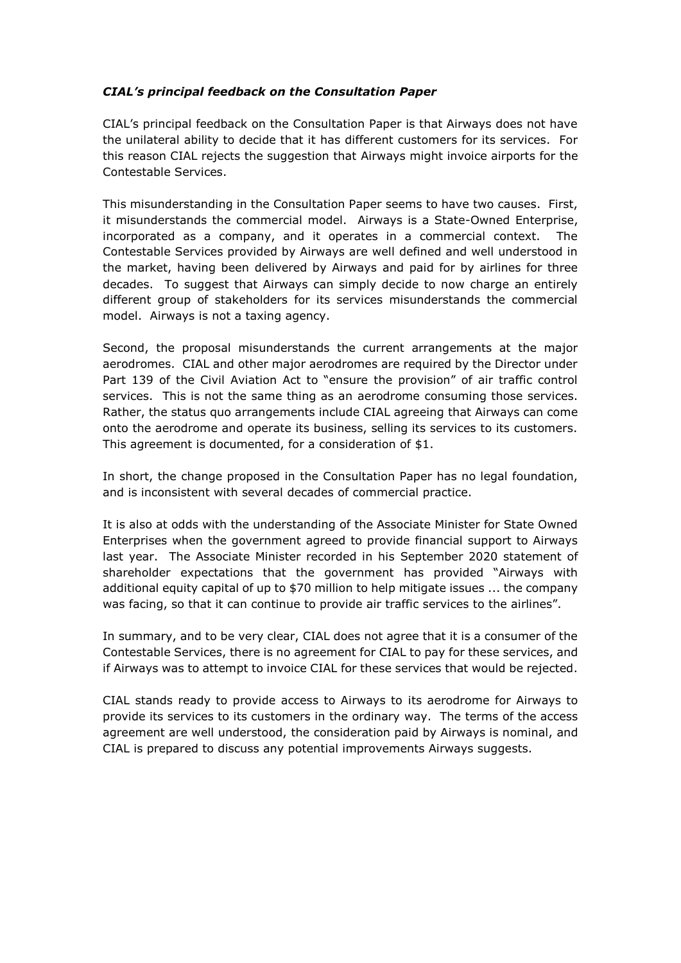## *CIAL's principal feedback on the Consultation Paper*

CIAL's principal feedback on the Consultation Paper is that Airways does not have the unilateral ability to decide that it has different customers for its services. For this reason CIAL rejects the suggestion that Airways might invoice airports for the Contestable Services.

This misunderstanding in the Consultation Paper seems to have two causes. First, it misunderstands the commercial model. Airways is a State-Owned Enterprise, incorporated as a company, and it operates in a commercial context. The Contestable Services provided by Airways are well defined and well understood in the market, having been delivered by Airways and paid for by airlines for three decades. To suggest that Airways can simply decide to now charge an entirely different group of stakeholders for its services misunderstands the commercial model. Airways is not a taxing agency.

Second, the proposal misunderstands the current arrangements at the major aerodromes. CIAL and other major aerodromes are required by the Director under Part 139 of the Civil Aviation Act to "ensure the provision" of air traffic control services. This is not the same thing as an aerodrome consuming those services. Rather, the status quo arrangements include CIAL agreeing that Airways can come onto the aerodrome and operate its business, selling its services to its customers. This agreement is documented, for a consideration of \$1.

In short, the change proposed in the Consultation Paper has no legal foundation, and is inconsistent with several decades of commercial practice.

It is also at odds with the understanding of the Associate Minister for State Owned Enterprises when the government agreed to provide financial support to Airways last year. The Associate Minister recorded in his September 2020 statement of shareholder expectations that the government has provided "Airways with additional equity capital of up to \$70 million to help mitigate issues ... the company was facing, so that it can continue to provide air traffic services to the airlines".

In summary, and to be very clear, CIAL does not agree that it is a consumer of the Contestable Services, there is no agreement for CIAL to pay for these services, and if Airways was to attempt to invoice CIAL for these services that would be rejected.

CIAL stands ready to provide access to Airways to its aerodrome for Airways to provide its services to its customers in the ordinary way. The terms of the access agreement are well understood, the consideration paid by Airways is nominal, and CIAL is prepared to discuss any potential improvements Airways suggests.